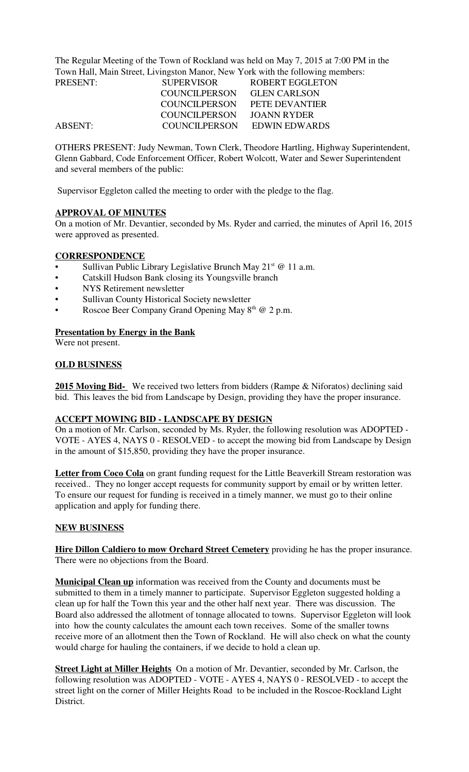The Regular Meeting of the Town of Rockland was held on May 7, 2015 at 7:00 PM in the Town Hall, Main Street, Livingston Manor, New York with the following members:

| PRESENT:       | <b>SUPERVISOR</b> | ROBERT EGGLETON     |
|----------------|-------------------|---------------------|
|                | COUNCILPERSON     | <b>GLEN CARLSON</b> |
|                | COUNCILPERSON     | PETE DEVANTIER      |
|                | COUNCILPERSON     | JOANN RYDER         |
| <b>ABSENT:</b> | COUNCILPERSON     | EDWIN EDWARDS       |

OTHERS PRESENT: Judy Newman, Town Clerk, Theodore Hartling, Highway Superintendent, Glenn Gabbard, Code Enforcement Officer, Robert Wolcott, Water and Sewer Superintendent and several members of the public:

Supervisor Eggleton called the meeting to order with the pledge to the flag.

## **APPROVAL OF MINUTES**

On a motion of Mr. Devantier, seconded by Ms. Ryder and carried, the minutes of April 16, 2015 were approved as presented.

## **CORRESPONDENCE**

- Sullivan Public Library Legislative Brunch May  $21<sup>st</sup>$  @ 11 a.m.
- Catskill Hudson Bank closing its Youngsville branch
- NYS Retirement newsletter
- Sullivan County Historical Society newsletter
- Roscoe Beer Company Grand Opening May  $8<sup>th</sup>$  @ 2 p.m.

### **Presentation by Energy in the Bank**

Were not present.

## **OLD BUSINESS**

**2015 Moving Bid-** We received two letters from bidders (Rampe & Niforatos) declining said bid. This leaves the bid from Landscape by Design, providing they have the proper insurance.

### **ACCEPT MOWING BID - LANDSCAPE BY DESIGN**

On a motion of Mr. Carlson, seconded by Ms. Ryder, the following resolution was ADOPTED - VOTE - AYES 4, NAYS 0 - RESOLVED - to accept the mowing bid from Landscape by Design in the amount of \$15,850, providing they have the proper insurance.

**Letter from Coco Cola** on grant funding request for the Little Beaverkill Stream restoration was received.. They no longer accept requests for community support by email or by written letter. To ensure our request for funding is received in a timely manner, we must go to their online application and apply for funding there.

### **NEW BUSINESS**

**Hire Dillon Caldiero to mow Orchard Street Cemetery** providing he has the proper insurance. There were no objections from the Board.

**Municipal Clean up** information was received from the County and documents must be submitted to them in a timely manner to participate. Supervisor Eggleton suggested holding a clean up for half the Town this year and the other half next year. There was discussion. The Board also addressed the allotment of tonnage allocated to towns. Supervisor Eggleton will look into how the county calculates the amount each town receives. Some of the smaller towns receive more of an allotment then the Town of Rockland. He will also check on what the county would charge for hauling the containers, if we decide to hold a clean up.

**Street Light at Miller Heights** On a motion of Mr. Devantier, seconded by Mr. Carlson, the following resolution was ADOPTED - VOTE - AYES 4, NAYS 0 - RESOLVED - to accept the street light on the corner of Miller Heights Road to be included in the Roscoe-Rockland Light District.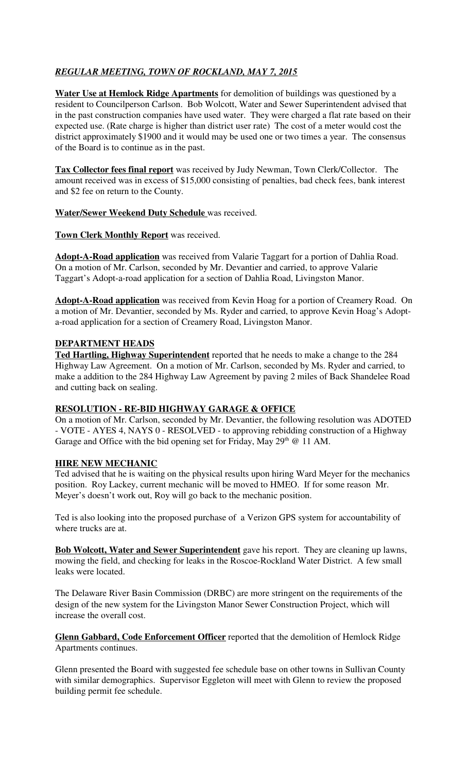# *REGULAR MEETING, TOWN OF ROCKLAND, MAY 7, 2015*

**Water Use at Hemlock Ridge Apartments** for demolition of buildings was questioned by a resident to Councilperson Carlson. Bob Wolcott, Water and Sewer Superintendent advised that in the past construction companies have used water. They were charged a flat rate based on their expected use. (Rate charge is higher than district user rate) The cost of a meter would cost the district approximately \$1900 and it would may be used one or two times a year. The consensus of the Board is to continue as in the past.

**Tax Collector fees final report** was received by Judy Newman, Town Clerk/Collector. The amount received was in excess of \$15,000 consisting of penalties, bad check fees, bank interest and \$2 fee on return to the County.

### **Water/Sewer Weekend Duty Schedule** was received.

### **Town Clerk Monthly Report** was received.

**Adopt-A-Road application** was received from Valarie Taggart for a portion of Dahlia Road. On a motion of Mr. Carlson, seconded by Mr. Devantier and carried, to approve Valarie Taggart's Adopt-a-road application for a section of Dahlia Road, Livingston Manor.

**Adopt-A-Road application** was received from Kevin Hoag for a portion of Creamery Road. On a motion of Mr. Devantier, seconded by Ms. Ryder and carried, to approve Kevin Hoag's Adopta-road application for a section of Creamery Road, Livingston Manor.

### **DEPARTMENT HEADS**

**Ted Hartling, Highway Superintendent** reported that he needs to make a change to the 284 Highway Law Agreement. On a motion of Mr. Carlson, seconded by Ms. Ryder and carried, to make a addition to the 284 Highway Law Agreement by paving 2 miles of Back Shandelee Road and cutting back on sealing.

### **RESOLUTION - RE-BID HIGHWAY GARAGE & OFFICE**

On a motion of Mr. Carlson, seconded by Mr. Devantier, the following resolution was ADOTED - VOTE - AYES 4, NAYS 0 - RESOLVED - to approving rebidding construction of a Highway Garage and Office with the bid opening set for Friday, May  $29<sup>th</sup>$  @ 11 AM.

### **HIRE NEW MECHANIC**

Ted advised that he is waiting on the physical results upon hiring Ward Meyer for the mechanics position. Roy Lackey, current mechanic will be moved to HMEO. If for some reason Mr. Meyer's doesn't work out, Roy will go back to the mechanic position.

Ted is also looking into the proposed purchase of a Verizon GPS system for accountability of where trucks are at.

**Bob Wolcott, Water and Sewer Superintendent** gave his report. They are cleaning up lawns, mowing the field, and checking for leaks in the Roscoe-Rockland Water District. A few small leaks were located.

The Delaware River Basin Commission (DRBC) are more stringent on the requirements of the design of the new system for the Livingston Manor Sewer Construction Project, which will increase the overall cost.

**Glenn Gabbard, Code Enforcement Officer** reported that the demolition of Hemlock Ridge Apartments continues.

Glenn presented the Board with suggested fee schedule base on other towns in Sullivan County with similar demographics. Supervisor Eggleton will meet with Glenn to review the proposed building permit fee schedule.